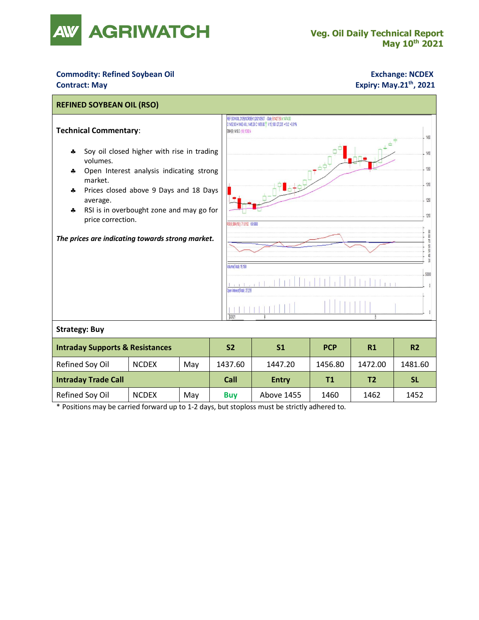

## **Commodity: Refined Soybean Oil <b>Exchange: NCDEX Contract: May Expiry: May.21 th, 2021**



\* Positions may be carried forward up to 1-2 days, but stoploss must be strictly adhered to.